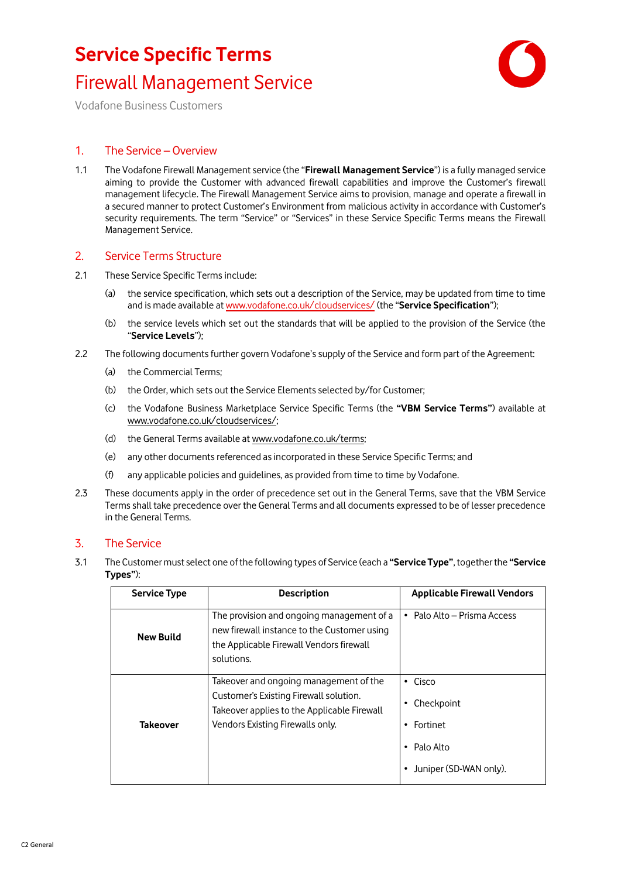

Vodafone Business Customers

### 1. The Service – Overview

1.1 The Vodafone Firewall Management service (the "**Firewall Management Service**") is a fully managed service aiming to provide the Customer with advanced firewall capabilities and improve the Customer's firewall management lifecycle. The Firewall Management Service aims to provision, manage and operate a firewall in a secured manner to protect Customer's Environment from malicious activity in accordance with Customer's security requirements. The term "Service" or "Services" in these Service Specific Terms means the Firewall Management Service.

#### 2. Service Terms Structure

- 2.1 These Service Specific Terms include:
	- (a) the service specification, which sets out a description of the Service, may be updated from time to time and is made available a[t www.vodafone.co.uk/cloudservices/](http://www.vodafone.co.uk/cloudservices/) (the "**Service Specification**");
	- (b) the service levels which set out the standards that will be applied to the provision of the Service (the "**Service Levels**");
- 2.2 The following documents further govern Vodafone's supply of the Service and form part of the Agreement:
	- (a) the Commercial Terms;
	- (b) the Order, which sets out the Service Elements selected by/for Customer;
	- (c) the Vodafone Business Marketplace Service Specific Terms (the **"VBM Service Terms"**) available at [www.vodafone.co.uk/cloudservices/;](http://www.vodafone.co.uk/cloudservices/)
	- (d) the General Terms available at [www.vodafone.co.uk/terms;](http://www.vodafone.co.uk/terms)
	- (e) any other documents referenced as incorporated in these Service Specific Terms; and
	- (f) any applicable policies and guidelines, as provided from time to time by Vodafone.
- 2.3 These documents apply in the order of precedence set out in the General Terms, save that the VBM Service Terms shall take precedence over the General Terms and all documents expressed to be of lesser precedence in the General Terms.

### 3. The Service

<span id="page-0-0"></span>3.1 The Customer must select one of the following types of Service (each a **"Service Type"**, together the **"Service Types"**):

| <b>Service Type</b> | <b>Description</b>                                                                                                                                                  | <b>Applicable Firewall Vendors</b>                                                  |
|---------------------|---------------------------------------------------------------------------------------------------------------------------------------------------------------------|-------------------------------------------------------------------------------------|
| <b>New Build</b>    | The provision and ongoing management of a<br>new firewall instance to the Customer using<br>the Applicable Firewall Vendors firewall<br>solutions.                  | • Palo Alto – Prisma Access                                                         |
| Takeover            | Takeover and ongoing management of the<br>Customer's Existing Firewall solution.<br>Takeover applies to the Applicable Firewall<br>Vendors Existing Firewalls only. | Cisco<br>$\bullet$<br>Checkpoint<br>Fortinet<br>Palo Alto<br>Juniper (SD-WAN only). |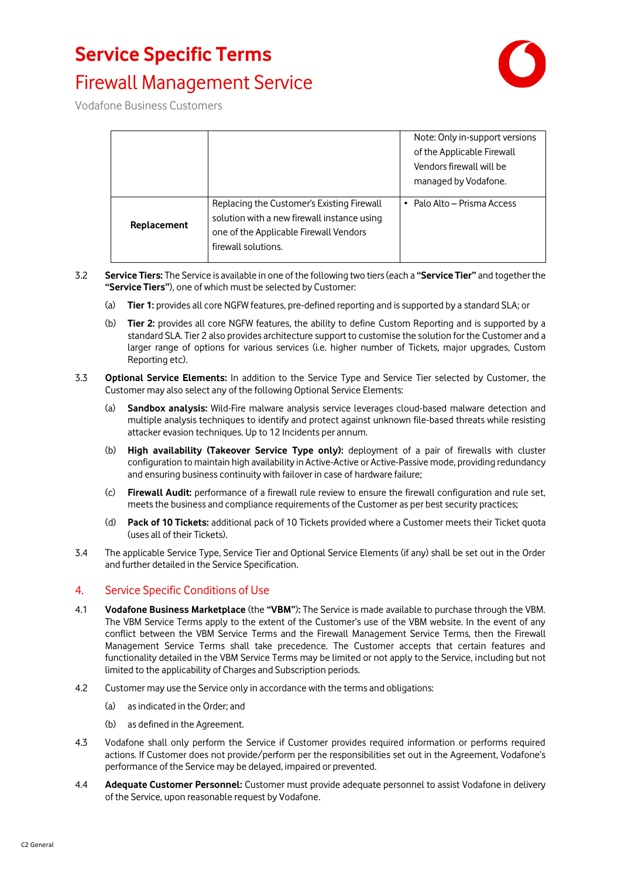### **Service Specific Terms**





Vodafone Business Customers

|             |                                                                                                                                                            | Note: Only in-support versions<br>of the Applicable Firewall<br>Vendors firewall will be<br>managed by Vodafone. |
|-------------|------------------------------------------------------------------------------------------------------------------------------------------------------------|------------------------------------------------------------------------------------------------------------------|
| Replacement | Replacing the Customer's Existing Firewall<br>solution with a new firewall instance using<br>one of the Applicable Firewall Vendors<br>firewall solutions. | • Palo Alto – Prisma Access                                                                                      |

- 3.2 **Service Tiers:** The Service is available in one of the following two tiers(each a **"Service Tier"** and together the **"Service Tiers"**), one of which must be selected by Customer:
	- (a) **Tier 1:** provides all core NGFW features, pre-defined reporting and is supported by a standard SLA; or
	- (b) **Tier 2:** provides all core NGFW features, the ability to define Custom Reporting and is supported by a standard SLA. Tier 2 also provides architecture support to customise the solution for the Customer and a larger range of options for various services (i.e. higher number of Tickets, major upgrades, Custom Reporting etc).
- 3.3 **Optional Service Elements:** In addition to the Service Type and Service Tier selected by Customer, the Customer may also select any of the following Optional Service Elements:
	- (a) **Sandbox analysis:** Wild-Fire malware analysis service leverages cloud-based malware detection and multiple analysis techniques to identify and protect against unknown file-based threats while resisting attacker evasion techniques. Up to 12 Incidents per annum.
	- (b) **High availability (Takeover Service Type only):** deployment of a pair of firewalls with cluster configuration to maintain high availability in Active-Active or Active-Passive mode, providing redundancy and ensuring business continuity with failover in case of hardware failure;
	- (c) **Firewall Audit:** performance of a firewall rule review to ensure the firewall configuration and rule set, meets the business and compliance requirements of the Customer as per best security practices;
	- (d) **Pack of 10 Tickets:** additional pack of 10 Tickets provided where a Customer meets their Ticket quota (uses all of their Tickets).
- 3.4 The applicable Service Type, Service Tier and Optional Service Elements (if any) shall be set out in the Order and further detailed in the Service Specification.

#### 4. Service Specific Conditions of Use

- 4.1 **Vodafone Business Marketplace** (the **"VBM"**)**:** The Service is made available to purchase through the VBM. The VBM Service Terms apply to the extent of the Customer's use of the VBM website. In the event of any conflict between the VBM Service Terms and the Firewall Management Service Terms, then the Firewall Management Service Terms shall take precedence. The Customer accepts that certain features and functionality detailed in the VBM Service Terms may be limited or not apply to the Service, including but not limited to the applicability of Charges and Subscription periods.
- 4.2 Customer may use the Service only in accordance with the terms and obligations:
	- (a) as indicated in the Order; and
	- (b) as defined in the Agreement.
- 4.3 Vodafone shall only perform the Service if Customer provides required information or performs required actions. If Customer does not provide/perform per the responsibilities set out in the Agreement, Vodafone's performance of the Service may be delayed, impaired or prevented.
- 4.4 **Adequate Customer Personnel:** Customer must provide adequate personnel to assist Vodafone in delivery of the Service, upon reasonable request by Vodafone.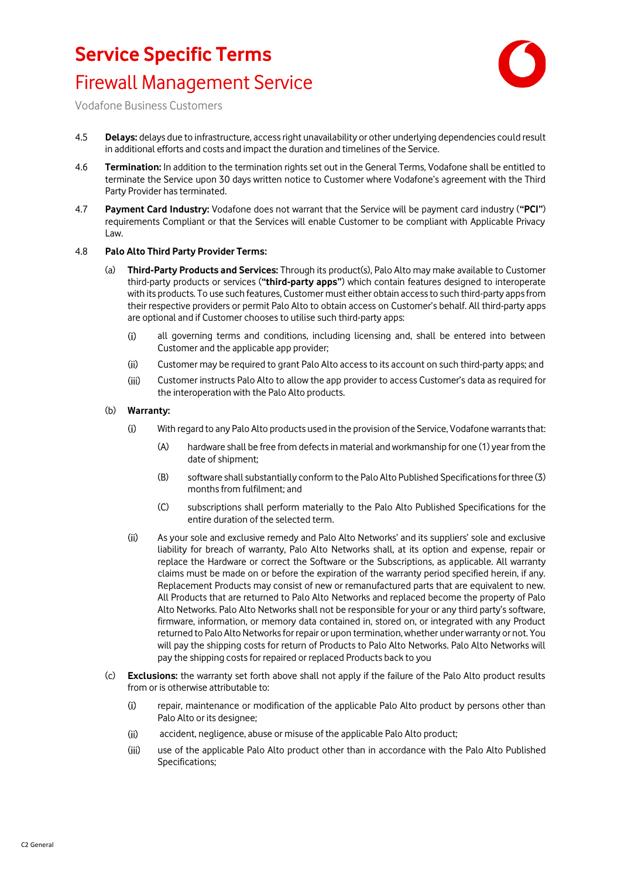

Vodafone Business Customers

- 4.5 **Delays:** delays due to infrastructure, access right unavailability or other underlying dependencies could result in additional efforts and costs and impact the duration and timelines of the Service.
- 4.6 **Termination:** In addition to the termination rights set out in the General Terms, Vodafone shall be entitled to terminate the Service upon 30 days written notice to Customer where Vodafone's agreement with the Third Party Provider has terminated.
- 4.7 **Payment Card Industry:** Vodafone does not warrant that the Service will be payment card industry (**"PCI"**) requirements Compliant or that the Services will enable Customer to be compliant with Applicable Privacy Law.

#### 4.8 **Palo Alto Third Party Provider Terms:**

- (a) **Third-Party Products and Services:** Through its product(s), Palo Alto may make available to Customer third-party products or services (**"third-party apps"**) which contain features designed to interoperate with its products. To use such features, Customer must either obtain access to such third-party apps from their respective providers or permit Palo Alto to obtain access on Customer's behalf. All third-party apps are optional and if Customer choosesto utilise such third-party apps:
	- all governing terms and conditions, including licensing and, shall be entered into between  $(i)$ Customer and the applicable app provider;
	- $(ii)$ Customer may be required to grant Palo Alto access to its account on such third-party apps; and
	- $(iii)$ Customer instructs Palo Alto to allow the app provider to access Customer's data as required for the interoperation with the Palo Alto products.
- (b) **Warranty:** 
	- $(i)$ With regard to any Palo Alto products used in the provision of the Service, Vodafone warrants that:
		- (A) hardware shall be free from defects in material and workmanship for one (1) year from the date of shipment;
		- (B) software shall substantially conform to the Palo Alto Published Specifications for three (3) months from fulfilment; and
		- (C) subscriptions shall perform materially to the Palo Alto Published Specifications for the entire duration of the selected term.
	- As your sole and exclusive remedy and Palo Alto Networks' and its suppliers' sole and exclusive  $(ii)$ liability for breach of warranty, Palo Alto Networks shall, at its option and expense, repair or replace the Hardware or correct the Software or the Subscriptions, as applicable. All warranty claims must be made on or before the expiration of the warranty period specified herein, if any. Replacement Products may consist of new or remanufactured parts that are equivalent to new. All Products that are returned to Palo Alto Networks and replaced become the property of Palo Alto Networks. Palo Alto Networks shall not be responsible for your or any third party's software, firmware, information, or memory data contained in, stored on, or integrated with any Product returned to Palo Alto Networks for repair or upon termination, whether under warranty or not. You will pay the shipping costs for return of Products to Palo Alto Networks. Palo Alto Networks will pay the shipping costs for repaired or replaced Products back to you
- (c) **Exclusions:** the warranty set forth above shall not apply if the failure of the Palo Alto product results from or is otherwise attributable to:
	- $(i)$ repair, maintenance or modification of the applicable Palo Alto product by persons other than Palo Alto or its designee;
	- $(ii)$ accident, negligence, abuse or misuse of the applicable Palo Alto product;
	- $(iii)$ use of the applicable Palo Alto product other than in accordance with the Palo Alto Published Specifications;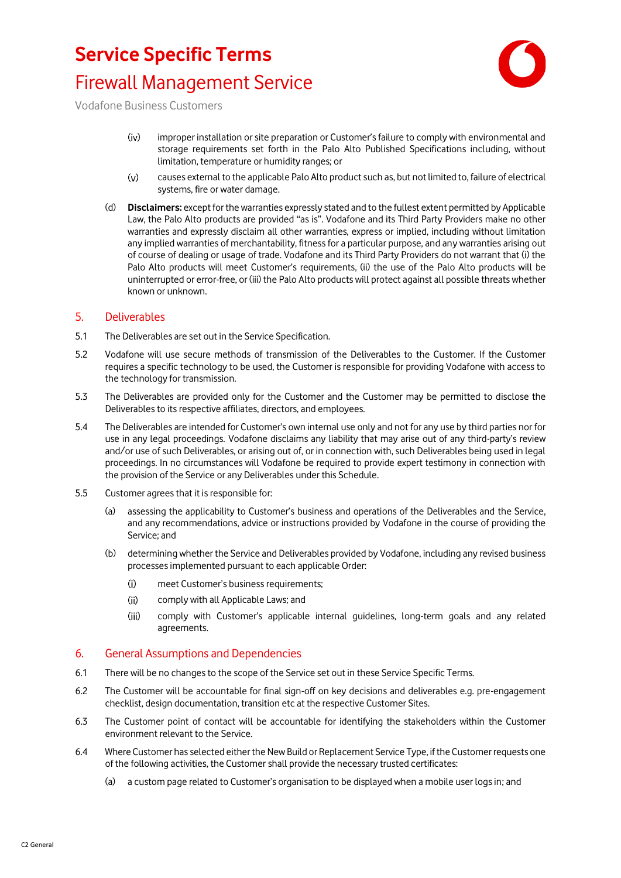

Vodafone Business Customers

- $(iv)$ improper installation or site preparation or Customer's failure to comply with environmental and storage requirements set forth in the Palo Alto Published Specifications including, without limitation, temperature or humidity ranges; or
- $(v)$ causes external to the applicable Palo Alto product such as, but not limited to, failure of electrical systems, fire or water damage.
- (d) **Disclaimers:** except for the warranties expressly stated and to the fullest extent permitted by Applicable Law, the Palo Alto products are provided "as is". Vodafone and its Third Party Providers make no other warranties and expressly disclaim all other warranties, express or implied, including without limitation any implied warranties of merchantability, fitness for a particular purpose, and any warranties arising out of course of dealing or usage of trade. Vodafone and its Third Party Providers do not warrant that (i) the Palo Alto products will meet Customer's requirements, (ii) the use of the Palo Alto products will be uninterrupted or error-free, or (iii) the Palo Alto products will protect against all possible threats whether known or unknown.

#### 5. Deliverables

- 5.1 The Deliverables are set out in the Service Specification.
- 5.2 Vodafone will use secure methods of transmission of the Deliverables to the Customer. If the Customer requires a specific technology to be used, the Customer is responsible for providing Vodafone with access to the technology for transmission.
- 5.3 The Deliverables are provided only for the Customer and the Customer may be permitted to disclose the Deliverables to its respective affiliates, directors, and employees.
- 5.4 The Deliverables are intended for Customer's own internal use only and not for any use by third parties nor for use in any legal proceedings. Vodafone disclaims any liability that may arise out of any third-party's review and/or use of such Deliverables, or arising out of, or in connection with, such Deliverables being used in legal proceedings. In no circumstances will Vodafone be required to provide expert testimony in connection with the provision of the Service or any Deliverables under this Schedule.
- 5.5 Customer agrees that it is responsible for:
	- (a) assessing the applicability to Customer's business and operations of the Deliverables and the Service, and any recommendations, advice or instructions provided by Vodafone in the course of providing the Service; and
	- (b) determining whether the Service and Deliverables provided by Vodafone, including any revised business processes implemented pursuant to each applicable Order:
		- $(i)$ meet Customer's business requirements;
		- $(ii)$ comply with all Applicable Laws; and
		- $(iii)$ comply with Customer's applicable internal guidelines, long-term goals and any related agreements.

#### 6. General Assumptions and Dependencies

- 6.1 There will be no changes to the scope of the Service set out in these Service Specific Terms.
- 6.2 The Customer will be accountable for final sign-off on key decisions and deliverables e.g. pre-engagement checklist, design documentation, transition etc at the respective Customer Sites.
- 6.3 The Customer point of contact will be accountable for identifying the stakeholders within the Customer environment relevant to the Service.
- 6.4 Where Customer has selected either the New Build or Replacement Service Type, if the Customer requests one of the following activities, the Customer shall provide the necessary trusted certificates:
	- (a) a custom page related to Customer's organisation to be displayed when a mobile user logs in; and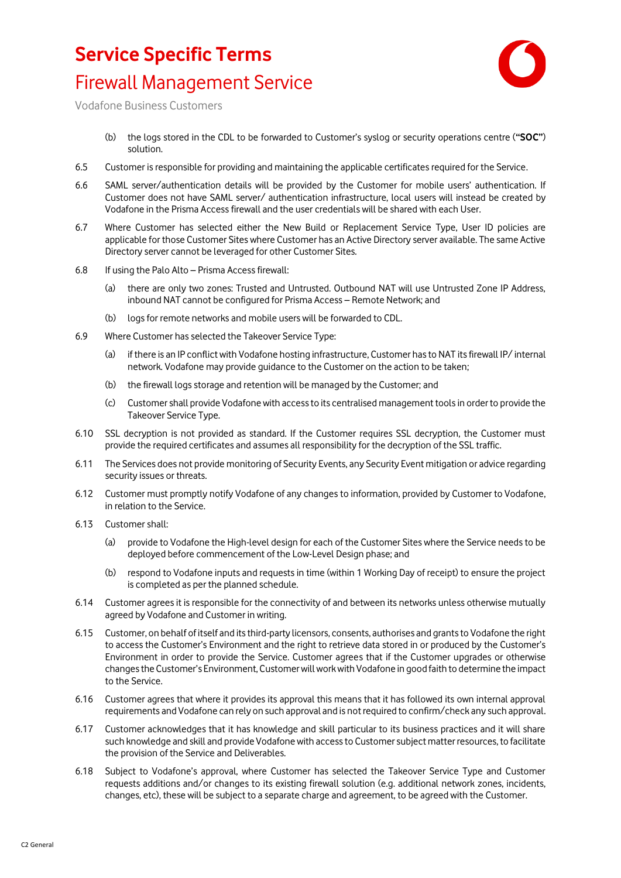

Vodafone Business Customers

- (b) the logs stored in the CDL to be forwarded to Customer's syslog or security operations centre (**"SOC"**) solution.
- 6.5 Customer is responsible for providing and maintaining the applicable certificates required for the Service.
- 6.6 SAML server/authentication details will be provided by the Customer for mobile users' authentication. If Customer does not have SAML server/ authentication infrastructure, local users will instead be created by Vodafone in the Prisma Access firewall and the user credentials will be shared with each User.
- 6.7 Where Customer has selected either the New Build or Replacement Service Type, User ID policies are applicable for those Customer Sites where Customer has an Active Directory server available. The same Active Directory server cannot be leveraged for other Customer Sites.
- 6.8 If using the Palo Alto Prisma Access firewall:
	- (a) there are only two zones: Trusted and Untrusted. Outbound NAT will use Untrusted Zone IP Address, inbound NAT cannot be configured for Prisma Access – Remote Network; and
	- (b) logs for remote networks and mobile users will be forwarded to CDL.
- 6.9 Where Customer has selected the Takeover Service Type:
	- (a) if there is an IP conflict with Vodafone hosting infrastructure, Customer has to NAT its firewall IP/ internal network. Vodafone may provide guidance to the Customer on the action to be taken;
	- (b) the firewall logs storage and retention will be managed by the Customer; and
	- (c) Customer shall provide Vodafone with access to its centralised management toolsin order to provide the Takeover Service Type.
- 6.10 SSL decryption is not provided as standard. If the Customer requires SSL decryption, the Customer must provide the required certificates and assumes all responsibility for the decryption of the SSL traffic.
- 6.11 The Services does not provide monitoring of Security Events, any Security Event mitigation or advice regarding security issues or threats.
- 6.12 Customer must promptly notify Vodafone of any changes to information, provided by Customer to Vodafone, in relation to the Service.
- 6.13 Customer shall:
	- (a) provide to Vodafone the High-level design for each of the Customer Sites where the Service needs to be deployed before commencement of the Low-Level Design phase; and
	- (b) respond to Vodafone inputs and requests in time (within 1 Working Day of receipt) to ensure the project is completed as per the planned schedule.
- 6.14 Customer agrees it is responsible for the connectivity of and between its networks unless otherwise mutually agreed by Vodafone and Customer in writing.
- 6.15 Customer, on behalf of itself and its third-party licensors, consents, authorises and grants to Vodafone the right to access the Customer's Environment and the right to retrieve data stored in or produced by the Customer's Environment in order to provide the Service. Customer agrees that if the Customer upgrades or otherwise changes the Customer's Environment, Customer will work with Vodafone in good faith to determine the impact to the Service.
- 6.16 Customer agrees that where it provides its approval this means that it has followed its own internal approval requirements and Vodafone can rely on such approval and is not required to confirm/check any such approval.
- 6.17 Customer acknowledges that it has knowledge and skill particular to its business practices and it will share such knowledge and skill and provide Vodafone with access to Customer subject matter resources, to facilitate the provision of the Service and Deliverables.
- 6.18 Subject to Vodafone's approval, where Customer has selected the Takeover Service Type and Customer requests additions and/or changes to its existing firewall solution (e.g. additional network zones, incidents, changes, etc), these will be subject to a separate charge and agreement, to be agreed with the Customer.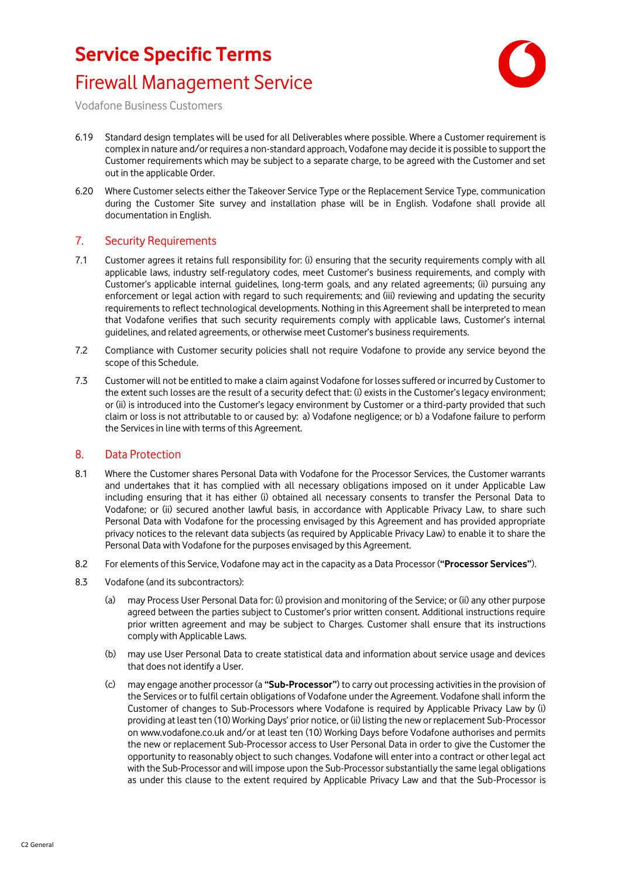

Vodafone Business Customers

- 6.19 Standard design templates will be used for all Deliverables where possible. Where a Customer requirement is complex in nature and/or requires a non-standard approach, Vodafone may decide it is possible to support the Customer requirements which may be subject to a separate charge, to be agreed with the Customer and set out in the applicable Order.
- 6.20 Where Customer selects either the Takeover Service Type or the Replacement Service Type, communication during the Customer Site survey and installation phase will be in English. Vodafone shall provide all documentation in English.

### 7. Security Requirements

- 7.1 Customer agrees it retains full responsibility for: (i) ensuring that the security requirements comply with all applicable laws, industry self-regulatory codes, meet Customer's business requirements, and comply with Customer's applicable internal guidelines, long-term goals, and any related agreements; (ii) pursuing any enforcement or legal action with regard to such requirements; and (iii) reviewing and updating the security requirements to reflect technological developments. Nothing in this Agreement shall be interpreted to mean that Vodafone verifies that such security requirements comply with applicable laws, Customer's internal guidelines, and related agreements, or otherwise meet Customer's business requirements.
- 7.2 Compliance with Customer security policies shall not require Vodafone to provide any service beyond the scope of this Schedule.
- 7.3 Customer will not be entitled to make a claim against Vodafone for losses suffered or incurred by Customer to the extent such losses are the result of a security defect that: (i) exists in the Customer's legacy environment; or (ii) is introduced into the Customer's legacy environment by Customer or a third-party provided that such claim or loss is not attributable to or caused by: a) Vodafone negligence; or b) a Vodafone failure to perform the Services in line with terms of this Agreement.

#### 8. Data Protection

- 8.1 Where the Customer shares Personal Data with Vodafone for the Processor Services, the Customer warrants and undertakes that it has complied with all necessary obligations imposed on it under Applicable Law including ensuring that it has either (i) obtained all necessary consents to transfer the Personal Data to Vodafone; or (ii) secured another lawful basis, in accordance with Applicable Privacy Law, to share such Personal Data with Vodafone for the processing envisaged by this Agreement and has provided appropriate privacy notices to the relevant data subjects (as required by Applicable Privacy Law) to enable it to share the Personal Data with Vodafone for the purposes envisaged by this Agreement.
- 8.2 For elements of this Service, Vodafone may act in the capacity as a Data Processor (**"Processor Services"**).
- 8.3 Vodafone (and its subcontractors):
	- (a) may Process User Personal Data for: (i) provision and monitoring of the Service; or (ii) any other purpose agreed between the parties subject to Customer's prior written consent. Additional instructions require prior written agreement and may be subject to Charges. Customer shall ensure that its instructions comply with Applicable Laws.
	- (b) may use User Personal Data to create statistical data and information about service usage and devices that does not identify a User.
	- (c) may engage another processor (a **"Sub-Processor"**) to carry out processing activities in the provision of the Services or to fulfil certain obligations of Vodafone under the Agreement. Vodafone shall inform the Customer of changes to Sub-Processors where Vodafone is required by Applicable Privacy Law by (i) providing at least ten (10) Working Days' prior notice, or (ii) listing the new or replacement Sub-Processor on www.vodafone.co.uk and/or at least ten (10) Working Days before Vodafone authorises and permits the new or replacement Sub-Processor access to User Personal Data in order to give the Customer the opportunity to reasonably object to such changes. Vodafone will enter into a contract or other legal act with the Sub-Processor and will impose upon the Sub-Processor substantially the same legal obligations as under this clause to the extent required by Applicable Privacy Law and that the Sub-Processor is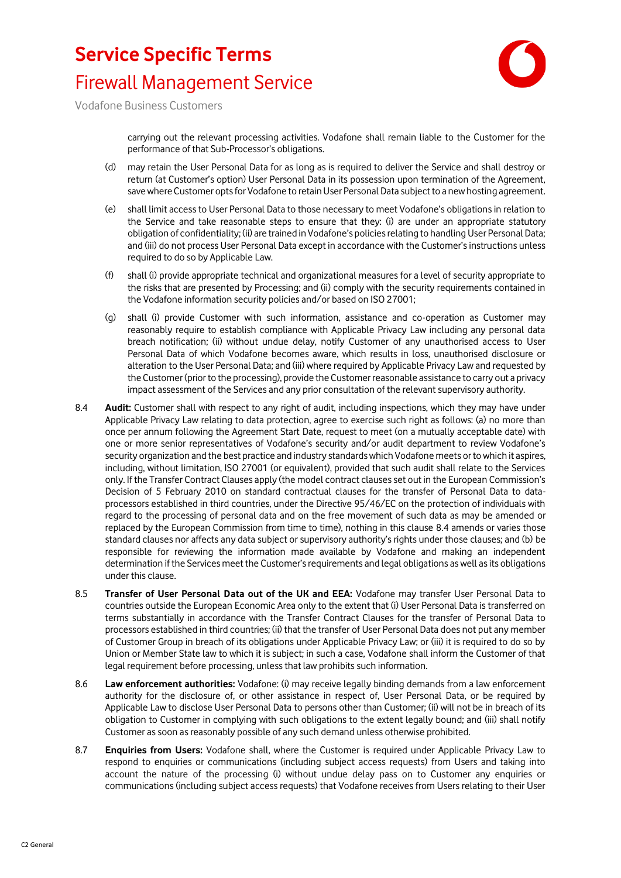

Vodafone Business Customers

carrying out the relevant processing activities. Vodafone shall remain liable to the Customer for the performance of that Sub-Processor's obligations.

- (d) may retain the User Personal Data for as long as is required to deliver the Service and shall destroy or return (at Customer's option) User Personal Data in its possession upon termination of the Agreement, save where Customer opts for Vodafone to retain User Personal Data subject to a new hosting agreement.
- (e) shall limit access to User Personal Data to those necessary to meet Vodafone's obligations in relation to the Service and take reasonable steps to ensure that they: (i) are under an appropriate statutory obligation of confidentiality; (ii) are trained in Vodafone's policies relating to handling User Personal Data; and (iii) do not process User Personal Data except in accordance with the Customer's instructions unless required to do so by Applicable Law.
- (f) shall (i) provide appropriate technical and organizational measures for a level of security appropriate to the risks that are presented by Processing; and (ii) comply with the security requirements contained in the Vodafone information security policies and/or based on ISO 27001;
- (g) shall (i) provide Customer with such information, assistance and co-operation as Customer may reasonably require to establish compliance with Applicable Privacy Law including any personal data breach notification; (ii) without undue delay, notify Customer of any unauthorised access to User Personal Data of which Vodafone becomes aware, which results in loss, unauthorised disclosure or alteration to the User Personal Data; and (iii) where required by Applicable Privacy Law and requested by the Customer (prior to the processing), provide the Customer reasonable assistance to carry out a privacy impact assessment of the Services and any prior consultation of the relevant supervisory authority.
- 8.4 **Audit:** Customer shall with respect to any right of audit, including inspections, which they may have under Applicable Privacy Law relating to data protection, agree to exercise such right as follows: (a) no more than once per annum following the Agreement Start Date, request to meet (on a mutually acceptable date) with one or more senior representatives of Vodafone's security and/or audit department to review Vodafone's security organization and the best practice and industry standards which Vodafone meets or to which it aspires, including, without limitation, ISO 27001 (or equivalent), provided that such audit shall relate to the Services only. If the Transfer Contract Clauses apply (the model contract clauses set out in the European Commission's Decision of 5 February 2010 on standard contractual clauses for the transfer of Personal Data to dataprocessors established in third countries, under the Directive 95/46/EC on the protection of individuals with regard to the processing of personal data and on the free movement of such data as may be amended or replaced by the European Commission from time to time), nothing in this clause 8.4 amends or varies those standard clauses nor affects any data subject or supervisory authority's rights under those clauses; and (b) be responsible for reviewing the information made available by Vodafone and making an independent determination if the Services meet the Customer's requirements and legal obligations as well as its obligations under this clause.
- 8.5 **Transfer of User Personal Data out of the UK and EEA:** Vodafone may transfer User Personal Data to countries outside the European Economic Area only to the extent that (i) User Personal Data is transferred on terms substantially in accordance with the Transfer Contract Clauses for the transfer of Personal Data to processors established in third countries; (ii) that the transfer of User Personal Data does not put any member of Customer Group in breach of its obligations under Applicable Privacy Law; or (iii) it is required to do so by Union or Member State law to which it is subject; in such a case, Vodafone shall inform the Customer of that legal requirement before processing, unless that law prohibits such information.
- 8.6 **Law enforcement authorities:** Vodafone: (i) may receive legally binding demands from a law enforcement authority for the disclosure of, or other assistance in respect of, User Personal Data, or be required by Applicable Law to disclose User Personal Data to persons other than Customer; (ii) will not be in breach of its obligation to Customer in complying with such obligations to the extent legally bound; and (iii) shall notify Customer as soon as reasonably possible of any such demand unless otherwise prohibited.
- 8.7 **Enquiries from Users:** Vodafone shall, where the Customer is required under Applicable Privacy Law to respond to enquiries or communications (including subject access requests) from Users and taking into account the nature of the processing (i) without undue delay pass on to Customer any enquiries or communications (including subject access requests) that Vodafone receives from Users relating to their User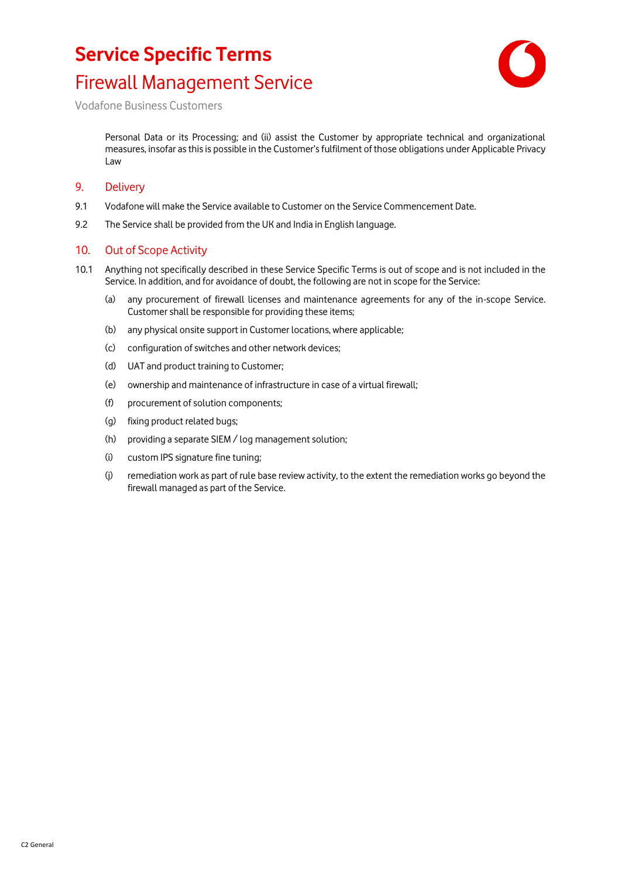

Vodafone Business Customers

Personal Data or its Processing; and (ii) assist the Customer by appropriate technical and organizational measures, insofar as this is possible in the Customer's fulfilment of those obligations under Applicable Privacy Law

#### 9. Delivery

- 9.1 Vodafone will make the Service available to Customer on the Service Commencement Date.
- 9.2 The Service shall be provided from the UK and India in English language.

#### 10. Out of Scope Activity

- 10.1 Anything not specifically described in these Service Specific Terms is out of scope and is not included in the Service. In addition, and for avoidance of doubt, the following are not in scope for the Service:
	- (a) any procurement of firewall licenses and maintenance agreements for any of the in-scope Service. Customer shall be responsible for providing these items;
	- (b) any physical onsite support in Customer locations, where applicable;
	- (c) configuration of switches and other network devices;
	- (d) UAT and product training to Customer;
	- (e) ownership and maintenance of infrastructure in case of a virtual firewall;
	- (f) procurement of solution components;
	- (g) fixing product related bugs;
	- (h) providing a separate SIEM / log management solution;
	- (i) custom IPS signature fine tuning;
	- (j) remediation work as part of rule base review activity, to the extent the remediation works go beyond the firewall managed as part of the Service.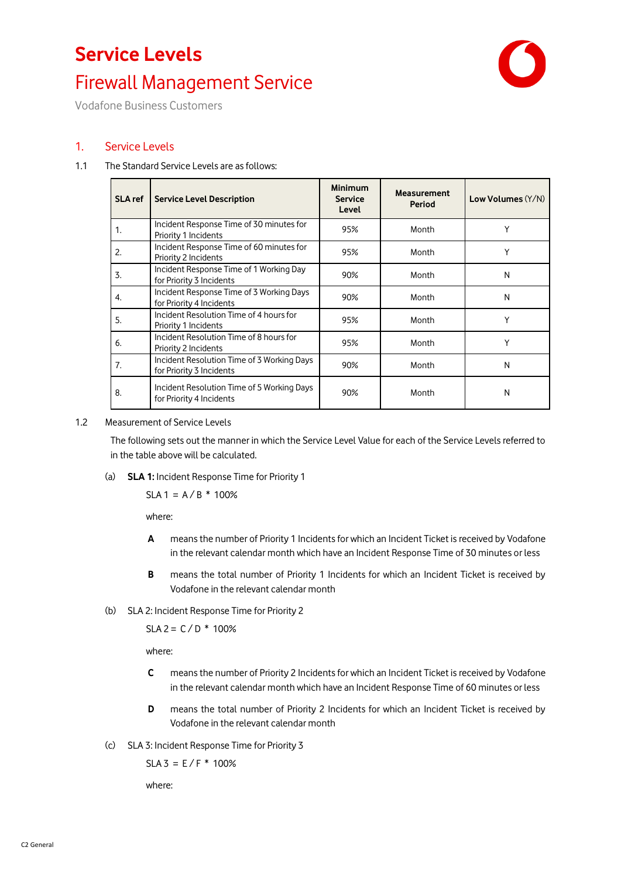# **Service Levels** Firewall Management Service



Vodafone Business Customers

### <span id="page-8-8"></span>1. Service Levels

#### <span id="page-8-9"></span>1.1 The Standard Service Levels are as follows:

<span id="page-8-3"></span><span id="page-8-2"></span><span id="page-8-1"></span><span id="page-8-0"></span>

| <b>SLA</b> ref | <b>Service Level Description</b>                                       | <b>Minimum</b><br><b>Service</b><br>Level | <b>Measurement</b><br>Period | Low Volumes (Y/N) |
|----------------|------------------------------------------------------------------------|-------------------------------------------|------------------------------|-------------------|
| 1.             | Incident Response Time of 30 minutes for<br>Priority 1 Incidents       | 95%                                       | Month                        |                   |
| 2.             | Incident Response Time of 60 minutes for<br>Priority 2 Incidents       | 95%                                       | Month                        |                   |
| 3.             | Incident Response Time of 1 Working Day<br>for Priority 3 Incidents    | 90%                                       | Month                        | N                 |
| 4.             | Incident Response Time of 3 Working Days<br>for Priority 4 Incidents   | 90%                                       | Month                        | N                 |
| 5.             | Incident Resolution Time of 4 hours for<br>Priority 1 Incidents        | 95%                                       | Month                        | Υ                 |
| 6.             | Incident Resolution Time of 8 hours for<br>Priority 2 Incidents        | 95%                                       | Month                        | Y                 |
| 7.             | Incident Resolution Time of 3 Working Days<br>for Priority 3 Incidents | 90%                                       | Month                        | N                 |
| 8.             | Incident Resolution Time of 5 Working Days<br>for Priority 4 Incidents | 90%                                       | Month                        | N                 |

#### <span id="page-8-7"></span><span id="page-8-6"></span><span id="page-8-5"></span><span id="page-8-4"></span>1.2 Measurement of Service Levels

The following sets out the manner in which the Service Level Value for each of the Service Levels referred to in the table above will be calculated.

(a) **SLA [1:](#page-8-0)** Incident Response Time for Priority 1

 $SLA1 = A/B * 100%$ 

where:

- **A** means the number of Priority 1 Incidents for which an Incident Ticket is received by Vodafone in the relevant calendar month which have an Incident Response Time of 30 minutes or less
- **B** means the total number of Priority 1 Incidents for which an Incident Ticket is received by Vodafone in the relevant calendar month
- (b) SL[A 2:](#page-8-1) Incident Response Time for Priority 2

 $SLA 2 = C/D * 100%$ 

where:

- **C** means the number of Priority 2 Incidents for which an Incident Ticket is received by Vodafone in the relevant calendar month which have an Incident Response Time of 60 minutes or less
- **D** means the total number of Priority 2 Incidents for which an Incident Ticket is received by Vodafone in the relevant calendar month
- (c) SL[A 3:](#page-8-2) Incident Response Time for Priority 3

 $SLA 3 = E/F * 100%$ 

where: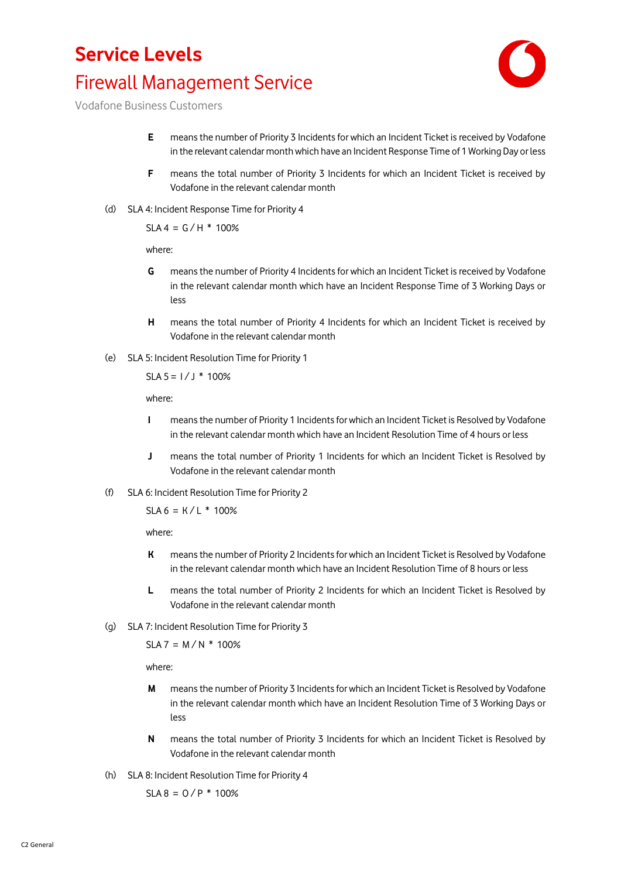## **Service Levels** Firewall Management Service



Vodafone Business Customers

- **E** means the number of Priority 3 Incidents for which an Incident Ticket is received by Vodafone in the relevant calendar month which have an Incident Response Time of 1 Working Day or less
- **F** means the total number of Priority 3 Incidents for which an Incident Ticket is received by Vodafone in the relevant calendar month
- (d) SL[A 4:](#page-8-3) Incident Response Time for Priority 4

 $SLA 4 = G/H * 100%$ 

where:

- **G** means the number of Priority 4 Incidents for which an Incident Ticket is received by Vodafone in the relevant calendar month which have an Incident Response Time of 3 Working Days or less
- **H** means the total number of Priority 4 Incidents for which an Incident Ticket is received by Vodafone in the relevant calendar month
- (e) SL[A 5:](#page-8-4) Incident Resolution Time for Priority 1

 $SLA 5 = 1 / J * 100\%$ 

where:

- **I** means the number of Priority 1 Incidents for which an Incident Ticket is Resolved by Vodafone in the relevant calendar month which have an Incident Resolution Time of 4 hours or less
- **J** means the total number of Priority 1 Incidents for which an Incident Ticket is Resolved by Vodafone in the relevant calendar month
- (f) SL[A 6:](#page-8-5) Incident Resolution Time for Priority 2

 $SIA 6 = K/I * 100%$ 

where:

- **K** means the number of Priority 2 Incidents for which an Incident Ticket is Resolved by Vodafone in the relevant calendar month which have an Incident Resolution Time of 8 hours or less
- **L** means the total number of Priority 2 Incidents for which an Incident Ticket is Resolved by Vodafone in the relevant calendar month
- (g) SL[A 7:](#page-8-6) Incident Resolution Time for Priority 3

 $SLA 7 = M / N * 100%$ 

where:

- **M** means the number of Priority 3 Incidents for which an Incident Ticket is Resolved by Vodafone in the relevant calendar month which have an Incident Resolution Time of 3 Working Days or less
- **N** means the total number of Priority 3 Incidents for which an Incident Ticket is Resolved by Vodafone in the relevant calendar month
- (h) SL[A 8:](#page-8-7) Incident Resolution Time for Priority 4

 $SLA 8 = O / P * 100\%$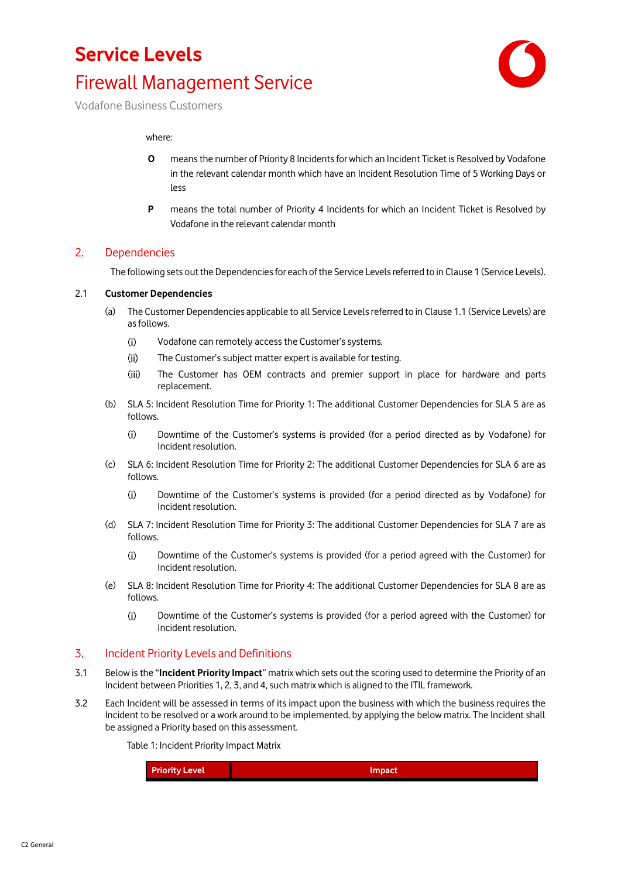## **Service Levels** Firewall Management Service



Vodafone Business Customers

#### where:

- **O** means the number of Priority 8 Incidents for which an Incident Ticket is Resolved by Vodafone in the relevant calendar month which have an Incident Resolution Time of 5 Working Days or less
- **P** means the total number of Priority 4 Incidents for which an Incident Ticket is Resolved by Vodafone in the relevant calendar month

#### 2. Dependencies

The following sets out the Dependencies for each of the Service Levels referred to in Claus[e 1](#page-8-8) (Service Levels).

#### 2.1 **Customer Dependencies**

- (a) The Customer Dependencies applicable to all Service Levels referred to in Claus[e 1.1](#page-8-9) (Service Levels) are as follows.
	- $(i)$ Vodafone can remotely access the Customer's systems.
	- $(ii)$ The Customer's subject matter expert is available for testing.
	- $(iii)$ The Customer has OEM contracts and premier support in place for hardware and parts replacement.
- (b) SLA [5:](#page-8-4) Incident Resolution Time for Priority 1: The additional Customer Dependencies for SLA 5 are as follows.
	- $(i)$ Downtime of the Customer's systems is provided (for a period directed as by Vodafone) for Incident resolution.
- (c) SLA [6:](#page-8-5) Incident Resolution Time for Priority 2: The additional Customer Dependencies for SLA 6 are as follows.
	- $(i)$ Downtime of the Customer's systems is provided (for a period directed as by Vodafone) for Incident resolution.
- (d) SLA [7:](#page-8-6) Incident Resolution Time for Priority 3: The additional Customer Dependencies for SLA 7 are as follows.
	- $(i)$ Downtime of the Customer's systems is provided (for a period agreed with the Customer) for Incident resolution.
- (e) SLA [8:](#page-8-7) Incident Resolution Time for Priority 4: The additional Customer Dependencies for SLA 8 are as follows.
	- $(i)$ Downtime of the Customer's systems is provided (for a period agreed with the Customer) for Incident resolution.

#### 3. Incident Priority Levels and Definitions

- 3.1 Below is the "**Incident Priority Impact**" matrix which sets out the scoring used to determine the Priority of an Incident between Priorities 1, 2, 3, and 4, such matrix which is aligned to the ITIL framework.
- 3.2 Each Incident will be assessed in terms of its impact upon the business with which the business requires the Incident to be resolved or a work around to be implemented, by applying the below matrix. The Incident shall be assigned a Priority based on this assessment.

Table 1: Incident Priority Impact Matrix

**Priority Level Impact**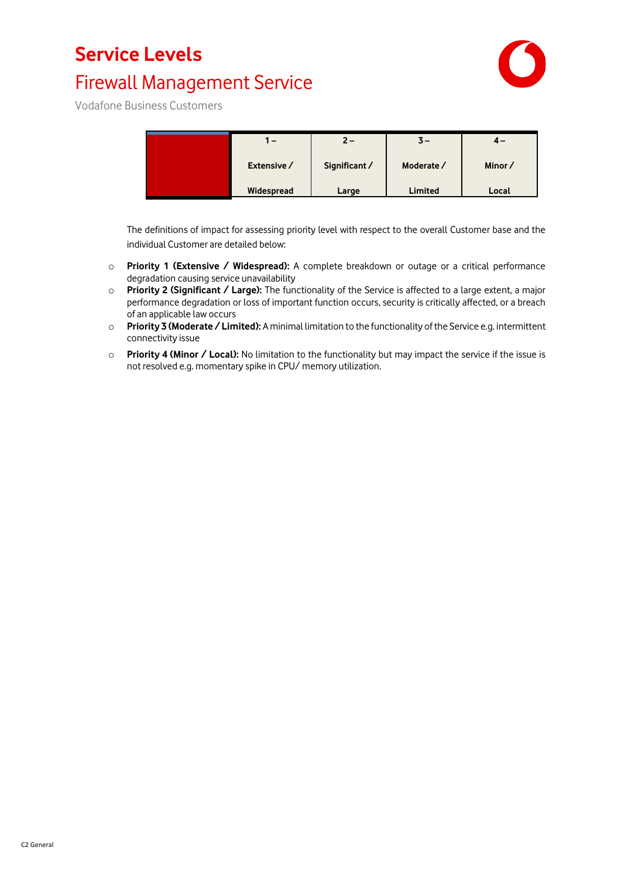### **Service Levels**

### Firewall Management Service



Vodafone Business Customers

| . –         | $2 -$         | $3-$       | $4-$   |
|-------------|---------------|------------|--------|
| Extensive / | Significant / | Moderate / | Minor/ |
| Widespread  | Large         | Limited    | Local  |

The definitions of impact for assessing priority level with respect to the overall Customer base and the individual Customer are detailed below:

- o **Priority 1 (Extensive / Widespread):** A complete breakdown or outage or a critical performance degradation causing service unavailability
- o **Priority 2 (Significant / Large):** The functionality of the Service is affected to a large extent, a major performance degradation or loss of important function occurs, security is critically affected, or a breach of an applicable law occurs
- o **Priority 3 (Moderate / Limited):** A minimal limitation to the functionality of the Service e.g. intermittent connectivity issue
- o **Priority 4 (Minor / Local):** No limitation to the functionality but may impact the service if the issue is not resolved e.g. momentary spike in CPU/ memory utilization.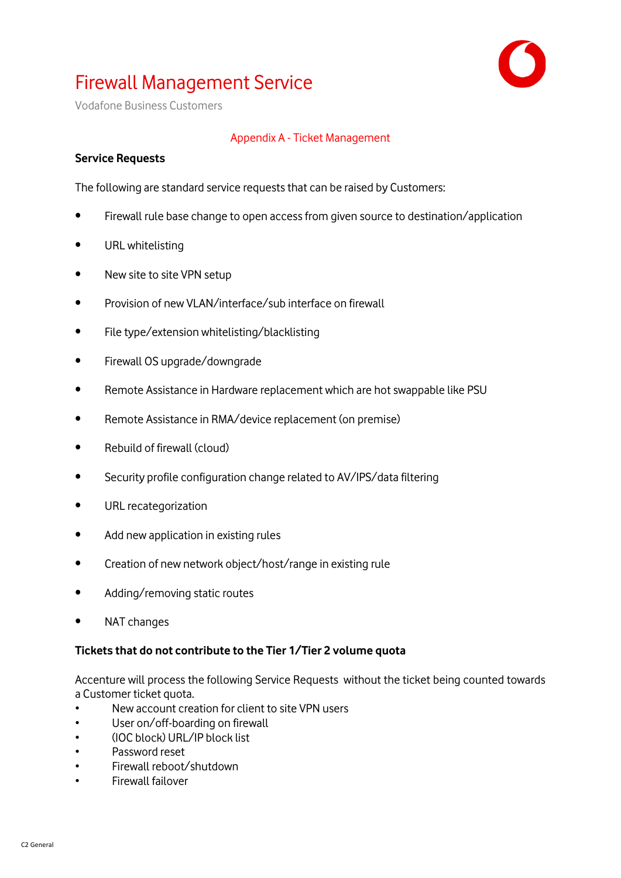

Vodafone Business Customers

### Appendix A - Ticket Management

### **Service Requests**

The following are standard service requests that can be raised by Customers:

- Firewall rule base change to open access from given source to destination/application
- URL whitelisting
- New site to site VPN setup
- Provision of new VLAN/interface/sub interface on firewall
- File type/extension whitelisting/blacklisting
- Firewall OS upgrade/downgrade
- Remote Assistance in Hardware replacement which are hot swappable like PSU
- Remote Assistance in RMA/device replacement (on premise)
- Rebuild of firewall (cloud)
- Security profile configuration change related to AV/IPS/data filtering
- URL recategorization
- Add new application in existing rules
- Creation of new network object/host/range in existing rule
- Adding/removing static routes
- NAT changes

### **Tickets that do not contribute to the Tier 1/Tier 2 volume quota**

Accenture will process the following Service Requests without the ticket being counted towards a Customer ticket quota.

- New account creation for client to site VPN users
- User on/off-boarding on firewall
- (IOC block) URL/IP block list
- Password reset
- Firewall reboot/shutdown
- Firewall failover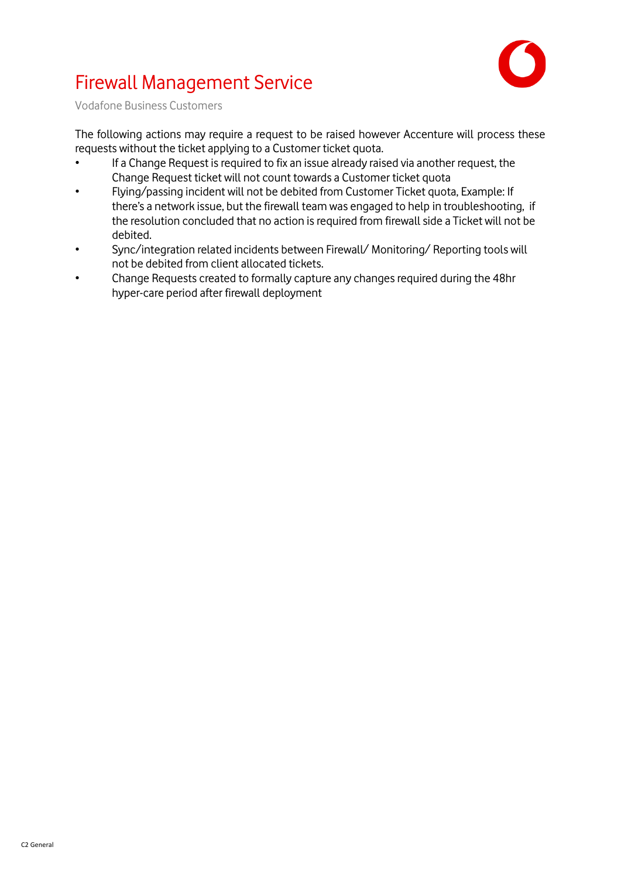

Vodafone Business Customers

The following actions may require a request to be raised however Accenture will process these requests without the ticket applying to a Customer ticket quota.

- If a Change Request is required to fix an issue already raised via another request, the Change Request ticket will not count towards a Customer ticket quota
- Flying/passing incident will not be debited from Customer Ticket quota, Example: If there's a network issue, but the firewall team was engaged to help in troubleshooting, if the resolution concluded that no action is required from firewall side a Ticket will not be debited.
- Sync/integration related incidents between Firewall/ Monitoring/ Reporting tools will not be debited from client allocated tickets.
- Change Requests created to formally capture any changes required during the 48hr hyper-care period after firewall deployment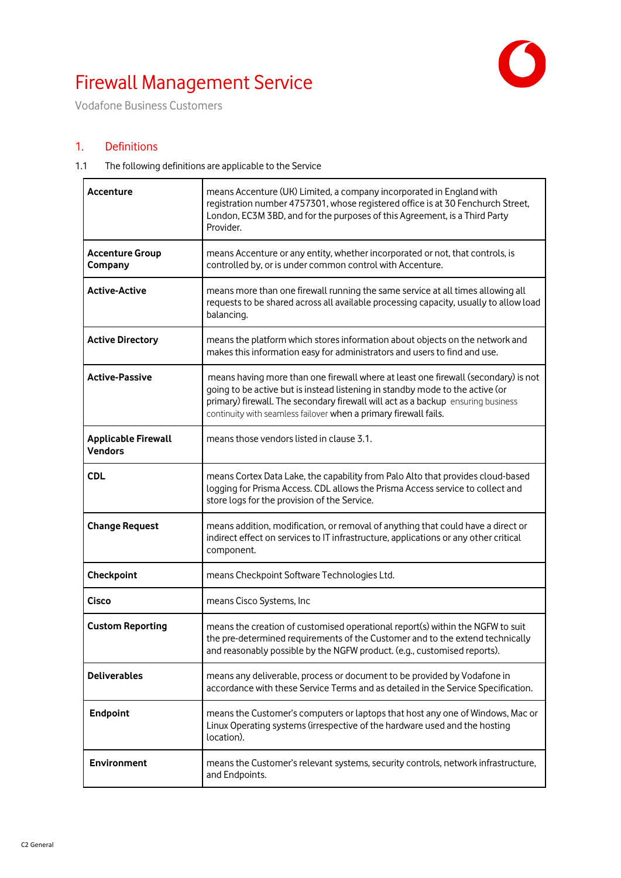

Vodafone Business Customers

### 1. Definitions

#### 1.1 The following definitions are applicable to the Service

| Accenture                                    | means Accenture (UK) Limited, a company incorporated in England with<br>registration number 4757301, whose registered office is at 30 Fenchurch Street,<br>London, EC3M 3BD, and for the purposes of this Agreement, is a Third Party<br>Provider.                                                                          |
|----------------------------------------------|-----------------------------------------------------------------------------------------------------------------------------------------------------------------------------------------------------------------------------------------------------------------------------------------------------------------------------|
| <b>Accenture Group</b><br>Company            | means Accenture or any entity, whether incorporated or not, that controls, is<br>controlled by, or is under common control with Accenture.                                                                                                                                                                                  |
| <b>Active-Active</b>                         | means more than one firewall running the same service at all times allowing all<br>requests to be shared across all available processing capacity, usually to allow load<br>balancing.                                                                                                                                      |
| <b>Active Directory</b>                      | means the platform which stores information about objects on the network and<br>makes this information easy for administrators and users to find and use.                                                                                                                                                                   |
| <b>Active-Passive</b>                        | means having more than one firewall where at least one firewall (secondary) is not<br>going to be active but is instead listening in standby mode to the active (or<br>primary) firewall. The secondary firewall will act as a backup ensuring business<br>continuity with seamless failover when a primary firewall fails. |
| <b>Applicable Firewall</b><br><b>Vendors</b> | means those vendors listed in clause 3.1.                                                                                                                                                                                                                                                                                   |
| <b>CDL</b>                                   | means Cortex Data Lake, the capability from Palo Alto that provides cloud-based<br>logging for Prisma Access. CDL allows the Prisma Access service to collect and<br>store logs for the provision of the Service.                                                                                                           |
| <b>Change Request</b>                        | means addition, modification, or removal of anything that could have a direct or<br>indirect effect on services to IT infrastructure, applications or any other critical<br>component.                                                                                                                                      |
| Checkpoint                                   | means Checkpoint Software Technologies Ltd.                                                                                                                                                                                                                                                                                 |
| <b>Cisco</b>                                 | means Cisco Systems, Inc                                                                                                                                                                                                                                                                                                    |
| <b>Custom Reporting</b>                      | means the creation of customised operational report(s) within the NGFW to suit<br>the pre-determined requirements of the Customer and to the extend technically<br>and reasonably possible by the NGFW product. (e.g., customised reports).                                                                                 |
| <b>Deliverables</b>                          | means any deliverable, process or document to be provided by Vodafone in<br>accordance with these Service Terms and as detailed in the Service Specification.                                                                                                                                                               |
| <b>Endpoint</b>                              | means the Customer's computers or laptops that host any one of Windows, Mac or<br>Linux Operating systems (irrespective of the hardware used and the hosting<br>location).                                                                                                                                                  |
| <b>Environment</b>                           | means the Customer's relevant systems, security controls, network infrastructure,<br>and Endpoints.                                                                                                                                                                                                                         |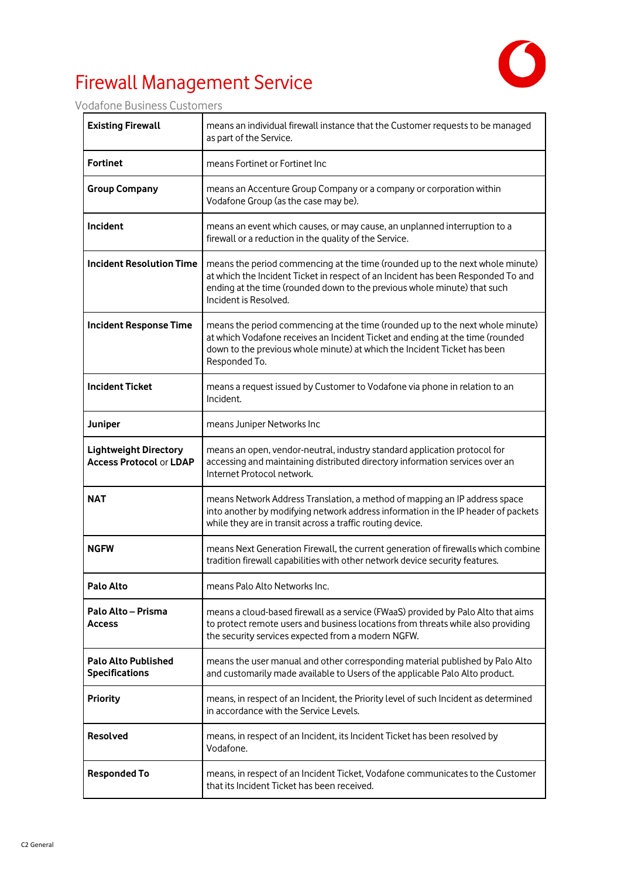

Vodafone Business Customers

| <b>Existing Firewall</b>                                       | means an individual firewall instance that the Customer requests to be managed<br>as part of the Service.                                                                                                                                                              |
|----------------------------------------------------------------|------------------------------------------------------------------------------------------------------------------------------------------------------------------------------------------------------------------------------------------------------------------------|
| <b>Fortinet</b>                                                | means Fortinet or Fortinet Inc                                                                                                                                                                                                                                         |
| <b>Group Company</b>                                           | means an Accenture Group Company or a company or corporation within<br>Vodafone Group (as the case may be).                                                                                                                                                            |
| Incident                                                       | means an event which causes, or may cause, an unplanned interruption to a<br>firewall or a reduction in the quality of the Service.                                                                                                                                    |
| <b>Incident Resolution Time</b>                                | means the period commencing at the time (rounded up to the next whole minute)<br>at which the Incident Ticket in respect of an Incident has been Responded To and<br>ending at the time (rounded down to the previous whole minute) that such<br>Incident is Resolved. |
| <b>Incident Response Time</b>                                  | means the period commencing at the time (rounded up to the next whole minute)<br>at which Vodafone receives an Incident Ticket and ending at the time (rounded<br>down to the previous whole minute) at which the Incident Ticket has been<br>Responded To.            |
| <b>Incident Ticket</b>                                         | means a request issued by Customer to Vodafone via phone in relation to an<br>Incident.                                                                                                                                                                                |
| Juniper                                                        | means Juniper Networks Inc                                                                                                                                                                                                                                             |
| <b>Lightweight Directory</b><br><b>Access Protocol or LDAP</b> | means an open, vendor-neutral, industry standard application protocol for<br>accessing and maintaining distributed directory information services over an<br>Internet Protocol network.                                                                                |
| <b>NAT</b>                                                     | means Network Address Translation, a method of mapping an IP address space<br>into another by modifying network address information in the IP header of packets<br>while they are in transit across a traffic routing device.                                          |
| <b>NGFW</b>                                                    | means Next Generation Firewall, the current generation of firewalls which combine<br>tradition firewall capabilities with other network device security features.                                                                                                      |
| <b>Palo Alto</b>                                               | means Palo Alto Networks Inc.                                                                                                                                                                                                                                          |
| Palo Alto - Prisma<br><b>Access</b>                            | means a cloud-based firewall as a service (FWaaS) provided by Palo Alto that aims<br>to protect remote users and business locations from threats while also providing<br>the security services expected from a modern NGFW.                                            |
| <b>Palo Alto Published</b><br><b>Specifications</b>            | means the user manual and other corresponding material published by Palo Alto<br>and customarily made available to Users of the applicable Palo Alto product.                                                                                                          |
| <b>Priority</b>                                                | means, in respect of an Incident, the Priority level of such Incident as determined<br>in accordance with the Service Levels.                                                                                                                                          |
| <b>Resolved</b>                                                | means, in respect of an Incident, its Incident Ticket has been resolved by<br>Vodafone.                                                                                                                                                                                |
| <b>Responded To</b>                                            | means, in respect of an Incident Ticket, Vodafone communicates to the Customer<br>that its Incident Ticket has been received.                                                                                                                                          |